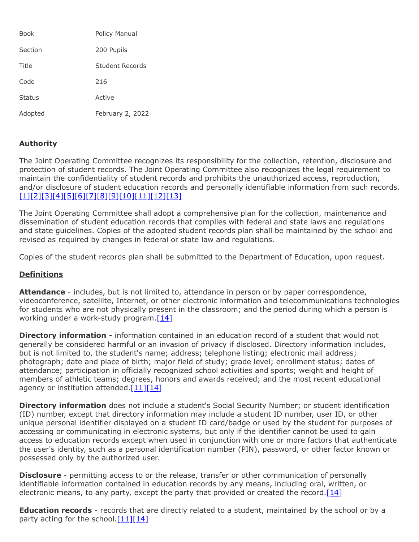| <b>Book</b>   | Policy Manual    |
|---------------|------------------|
| Section       | 200 Pupils       |
| Title         | Student Records  |
| Code          | 216              |
| <b>Status</b> | Active           |
| Adopted       | February 2, 2022 |

# **Authority**

The Joint Operating Committee recognizes its responsibility for the collection, retention, disclosure and protection of student records. The Joint Operating Committee also recognizes the legal requirement to maintain the confidentiality of student records and prohibits the unauthorized access, reproduction, and/or disclosure of student education records and personally identifiable information from such records. [\[1\]](http://www.legis.state.pa.us/cfdocs/legis/LI/uconsCheck.cfm?txtType=HTM&yr=1949&sessInd=0&smthLwInd=0&act=14&chpt=13A&sctn=5&subsctn=0)[\[2\]](http://www.legis.state.pa.us/cfdocs/legis/LI/uconsCheck.cfm?txtType=HTM&yr=1949&sessInd=0&smthLwInd=0&act=14&chpt=13A&sctn=6&subsctn=0)[\[3\]](http://www.legis.state.pa.us/cfdocs/legis/LI/uconsCheck.cfm?txtType=HTM&yr=1949&sessInd=0&smthLwInd=0&act=14&chpt=14&sctn=2&subsctn=0)[\[4\]](http://www.legis.state.pa.us/cfdocs/legis/LI/uconsCheck.cfm?txtType=HTM&yr=1949&sessInd=0&smthLwInd=0&act=14&chpt=14&sctn=9&subsctn=0)[\[5\]](http://www.legis.state.pa.us/cfdocs/legis/LI/uconsCheck.cfm?txtType=HTM&yr=1949&sessInd=0&smthLwInd=0&act=14&chpt=15&sctn=32&subsctn=0)[\[6\]](http://www.legis.state.pa.us/cfdocs/legis/LI/uconsCheck.cfm?txtType=HTM&yr=1949&sessInd=0&smthLwInd=0&act=14&chpt=15&sctn=33&subsctn=0)[\[7\]](http://pacodeandbulletin.gov/Display/pacode?file=/secure/pacode/data/022/chapter4/s4.52.html&d=reduce)[\[8\]](http://pacodeandbulletin.gov/Display/pacode?file=/secure/pacode/data/022/chapter12/s12.31.html&d=reduce)[\[9\]](http://pacodeandbulletin.gov/Display/pacode?file=/secure/pacode/data/022/chapter12/s12.32.html&d=reduce)[\[10\]](http://pacodeandbulletin.gov/Display/pacode?file=/secure/pacode/data/022/chapter15/s15.9.html&d=reduce)[\[11\]](http://www.law.cornell.edu/uscode/text/20/1232g)[\[12\]](http://www.law.cornell.edu/cfr/text/34/part-99)[\[13\]](http://www.law.cornell.edu/cfr/text/34/part-300)

The Joint Operating Committee shall adopt a comprehensive plan for the collection, maintenance and dissemination of student education records that complies with federal and state laws and regulations and state guidelines. Copies of the adopted student records plan shall be maintained by the school and revised as required by changes in federal or state law and regulations.

Copies of the student records plan shall be submitted to the Department of Education, upon request.

## **Definitions**

**Attendance** - includes, but is not limited to, attendance in person or by paper correspondence, videoconference, satellite, Internet, or other electronic information and telecommunications technologies for students who are not physically present in the classroom; and the period during which a person is working under a work-study program. $[14]$ 

**Directory information** - information contained in an education record of a student that would not generally be considered harmful or an invasion of privacy if disclosed. Directory information includes, but is not limited to, the student's name; address; telephone listing; electronic mail address; photograph; date and place of birth; major field of study; grade level; enrollment status; dates of attendance; participation in officially recognized school activities and sports; weight and height of members of athletic teams; degrees, honors and awards received; and the most recent educational agency or institution attended. $[11][14]$  $[11][14]$ 

**Directory information** does not include a student's Social Security Number; or student identification (ID) number, except that directory information may include a student ID number, user ID, or other unique personal identifier displayed on a student ID card/badge or used by the student for purposes of accessing or communicating in electronic systems, but only if the identifier cannot be used to gain access to education records except when used in conjunction with one or more factors that authenticate the user's identity, such as a personal identification number (PIN), password, or other factor known or possessed only by the authorized user.

**Disclosure** - permitting access to or the release, transfer or other communication of personally identifiable information contained in education records by any means, including oral, written, or electronic means, to any party, except the party that provided or created the record. $[14]$ 

**Education records** - records that are directly related to a student, maintained by the school or by a party acting for the school. $[11][14]$  $[11][14]$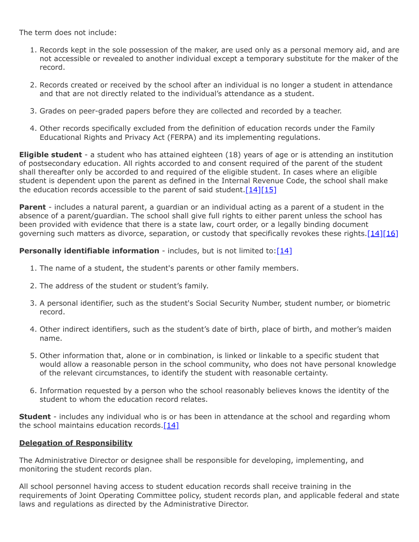The term does not include:

- 1. Records kept in the sole possession of the maker, are used only as a personal memory aid, and are not accessible or revealed to another individual except a temporary substitute for the maker of the record.
- 2. Records created or received by the school after an individual is no longer a student in attendance and that are not directly related to the individual's attendance as a student.
- 3. Grades on peer-graded papers before they are collected and recorded by a teacher.
- 4. Other records specifically excluded from the definition of education records under the Family Educational Rights and Privacy Act (FERPA) and its implementing regulations.

**Eligible student** - a student who has attained eighteen (18) years of age or is attending an institution of postsecondary education. All rights accorded to and consent required of the parent of the student shall thereafter only be accorded to and required of the eligible student. In cases where an eligible student is dependent upon the parent as defined in the Internal Revenue Code, the school shall make the education records accessible to the parent of said student.  $[14][15]$  $[14][15]$ 

**Parent** - includes a natural parent, a guardian or an individual acting as a parent of a student in the absence of a parent/guardian. The school shall give full rights to either parent unless the school has been provided with evidence that there is a state law, court order, or a legally binding document governing such matters as divorce, separation, or custody that specifically revokes these rights.[\[14\]](http://www.law.cornell.edu/cfr/text/34/99.3)[\[16\]](http://www.law.cornell.edu/cfr/text/34/99.4)

## **Personally identifiable information** - includes, but is not limited to: [14]

- 1. The name of a student, the student's parents or other family members.
- 2. The address of the student or student's family.
- 3. A personal identifier, such as the student's Social Security Number, student number, or biometric record.
- 4. Other indirect identifiers, such as the student's date of birth, place of birth, and mother's maiden name.
- 5. Other information that, alone or in combination, is linked or linkable to a specific student that would allow a reasonable person in the school community, who does not have personal knowledge of the relevant circumstances, to identify the student with reasonable certainty.
- 6. Information requested by a person who the school reasonably believes knows the identity of the student to whom the education record relates.

**Student** - includes any individual who is or has been in attendance at the school and regarding whom the school maintains education records.<sup>[\[14\]](http://www.law.cornell.edu/cfr/text/34/99.3)</sup>

## **Delegation of Responsibility**

The Administrative Director or designee shall be responsible for developing, implementing, and monitoring the student records plan.

All school personnel having access to student education records shall receive training in the requirements of Joint Operating Committee policy, student records plan, and applicable federal and state laws and regulations as directed by the Administrative Director.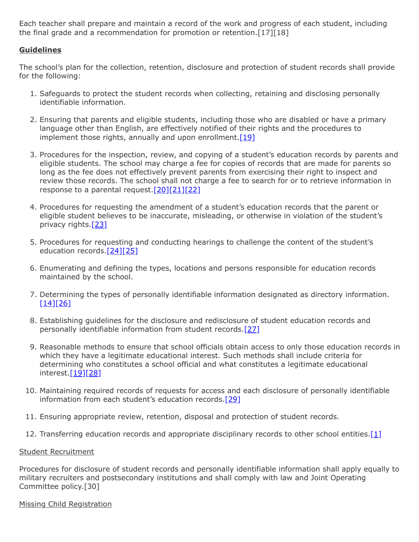Each teacher shall prepare and maintain a record of the work and progress of each student, including the final grade and a recommendation for promotion or retention.[17][18]

## **Guidelines**

The school's plan for the collection, retention, disclosure and protection of student records shall provide for the following:

- 1. Safeguards to protect the student records when collecting, retaining and disclosing personally identifiable information.
- 2. Ensuring that parents and eligible students, including those who are disabled or have a primary language other than English, are effectively notified of their rights and the procedures to implement those rights, annually and upon enrollment.  $[19]$
- 3. Procedures for the inspection, review, and copying of a student's education records by parents and eligible students. The school may charge a fee for copies of records that are made for parents so long as the fee does not effectively prevent parents from exercising their right to inspect and review those records. The school shall not charge a fee to search for or to retrieve information in response to a parental request. $[20][21][22]$  $[20][21][22]$  $[20][21][22]$
- 4. Procedures for requesting the amendment of a student's education records that the parent or eligible student believes to be inaccurate, misleading, or otherwise in violation of the student's privacy rights.<sup>[\[23\]](http://www.law.cornell.edu/cfr/text/34/99.20)</sup>
- 5. Procedures for requesting and conducting hearings to challenge the content of the student's education records.<sup>[\[24\]](http://www.law.cornell.edu/cfr/text/34/99.21)[\[25\]](http://www.law.cornell.edu/cfr/text/34/99.22)</sup>
- 6. Enumerating and defining the types, locations and persons responsible for education records maintained by the school.
- 7. Determining the types of personally identifiable information designated as directory information.  $[14][26]$  $[14][26]$
- 8. Establishing guidelines for the disclosure and redisclosure of student education records and personally identifiable information from student records.[\[27\]](http://www.law.cornell.edu/cfr/text/34/part-99/subpart-D)
- 9. Reasonable methods to ensure that school officials obtain access to only those education records in which they have a legitimate educational interest. Such methods shall include criteria for determining who constitutes a school official and what constitutes a legitimate educational interest.<sup>[19][\[28\]](http://www.law.cornell.edu/cfr/text/34/99.31)</sup>
- 10. Maintaining required records of requests for access and each disclosure of personally identifiable information from each student's education records.[\[29\]](http://www.law.cornell.edu/cfr/text/34/99.32)
- 11. Ensuring appropriate review, retention, disposal and protection of student records.
- 12. Transferring education records and appropriate disciplinary records to other school entities.[\[1\]](http://www.legis.state.pa.us/cfdocs/legis/LI/uconsCheck.cfm?txtType=HTM&yr=1949&sessInd=0&smthLwInd=0&act=14&chpt=13A&sctn=5&subsctn=0)

### Student Recruitment

Procedures for disclosure of student records and personally identifiable information shall apply equally to military recruiters and postsecondary institutions and shall comply with law and Joint Operating Committee policy.[30]

### Missing Child Registration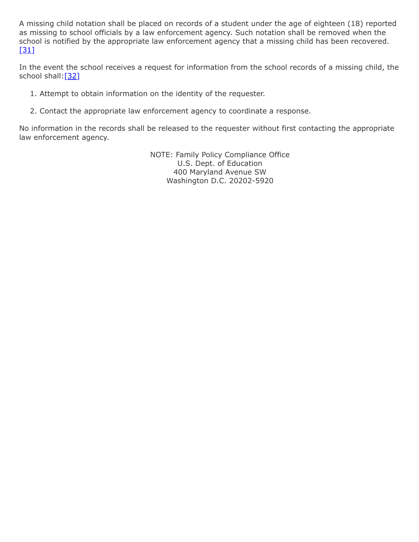A missing child notation shall be placed on records of a student under the age of eighteen (18) reported as missing to school officials by a law enforcement agency. Such notation shall be removed when the school is notified by the appropriate law enforcement agency that a missing child has been recovered.  $[31]$ 

In the event the school receives a request for information from the school records of a missing child, the school shall:[\[32\]](http://www.legis.state.pa.us/CFDOCS/LEGIS/LI/uconsCheck.cfm?txtType=HTM&yr=1990&sessInd=0&smthLwInd=0&act=0106.&CFID=166988857&CFTOKEN=38693263)

- 1. Attempt to obtain information on the identity of the requester.
- 2. Contact the appropriate law enforcement agency to coordinate a response.

No information in the records shall be released to the requester without first contacting the appropriate law enforcement agency.

> NOTE: Family Policy Compliance Office U.S. Dept. of Education 400 Maryland Avenue SW Washington D.C. 20202-5920